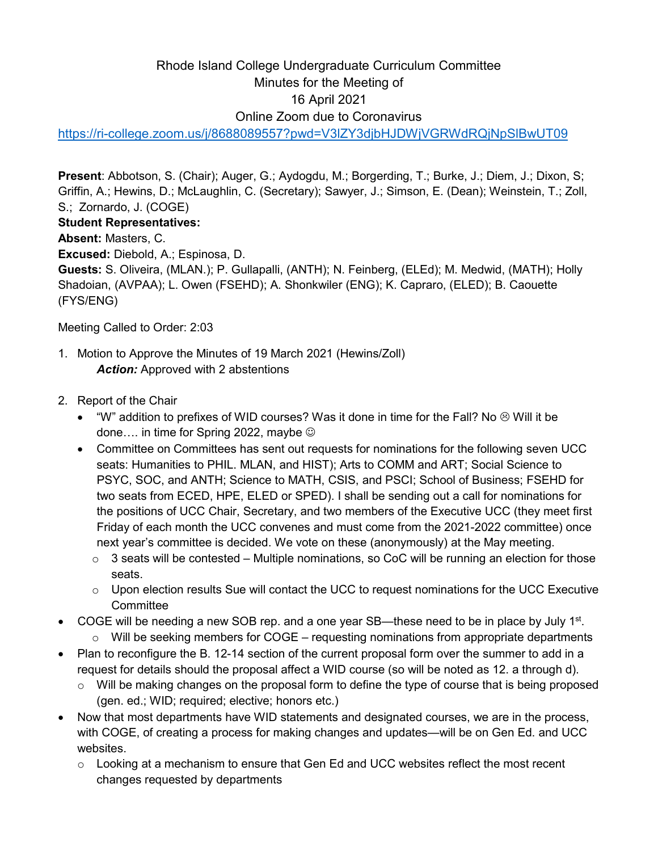# Rhode Island College Undergraduate Curriculum Committee Minutes for the Meeting of 16 April 2021 Online Zoom due to Coronavirus

<https://ri-college.zoom.us/j/8688089557?pwd=V3lZY3djbHJDWjVGRWdRQjNpSlBwUT09>

**Present**: Abbotson, S. (Chair); Auger, G.; Aydogdu, M.; Borgerding, T.; Burke, J.; Diem, J.; Dixon, S; Griffin, A.; Hewins, D.; McLaughlin, C. (Secretary); Sawyer, J.; Simson, E. (Dean); Weinstein, T.; Zoll, S.; Zornardo, J. (COGE)

# **Student Representatives:**

**Absent:** Masters, C.

**Excused:** Diebold, A.; Espinosa, D.

**Guests:** S. Oliveira, (MLAN.); P. Gullapalli, (ANTH); N. Feinberg, (ELEd); M. Medwid, (MATH); Holly Shadoian, (AVPAA); L. Owen (FSEHD); A. Shonkwiler (ENG); K. Capraro, (ELED); B. Caouette (FYS/ENG)

Meeting Called to Order: 2:03

- 1. Motion to Approve the Minutes of 19 March 2021 (Hewins/Zoll) *Action:* Approved with 2 abstentions
- 2. Report of the Chair
	- "W" addition to prefixes of WID courses? Was it done in time for the Fall? No  $\otimes$  Will it be done.... in time for Spring 2022, maybe  $\odot$
	- Committee on Committees has sent out requests for nominations for the following seven UCC seats: Humanities to PHIL. MLAN, and HIST); Arts to COMM and ART; Social Science to PSYC, SOC, and ANTH; Science to MATH, CSIS, and PSCI; School of Business; FSEHD for two seats from ECED, HPE, ELED or SPED). I shall be sending out a call for nominations for the positions of UCC Chair, Secretary, and two members of the Executive UCC (they meet first Friday of each month the UCC convenes and must come from the 2021-2022 committee) once next year's committee is decided. We vote on these (anonymously) at the May meeting.
		- $\circ$  3 seats will be contested Multiple nominations, so CoC will be running an election for those seats.
		- $\circ$  Upon election results Sue will contact the UCC to request nominations for the UCC Executive **Committee**
- COGE will be needing a new SOB rep. and a one year SB—these need to be in place by July  $1<sup>st</sup>$ .  $\circ$  Will be seeking members for COGE – requesting nominations from appropriate departments
- Plan to reconfigure the B. 12-14 section of the current proposal form over the summer to add in a request for details should the proposal affect a WID course (so will be noted as 12. a through d).
	- o Will be making changes on the proposal form to define the type of course that is being proposed (gen. ed.; WID; required; elective; honors etc.)
- Now that most departments have WID statements and designated courses, we are in the process, with COGE, of creating a process for making changes and updates—will be on Gen Ed. and UCC websites.
	- $\circ$  Looking at a mechanism to ensure that Gen Ed and UCC websites reflect the most recent changes requested by departments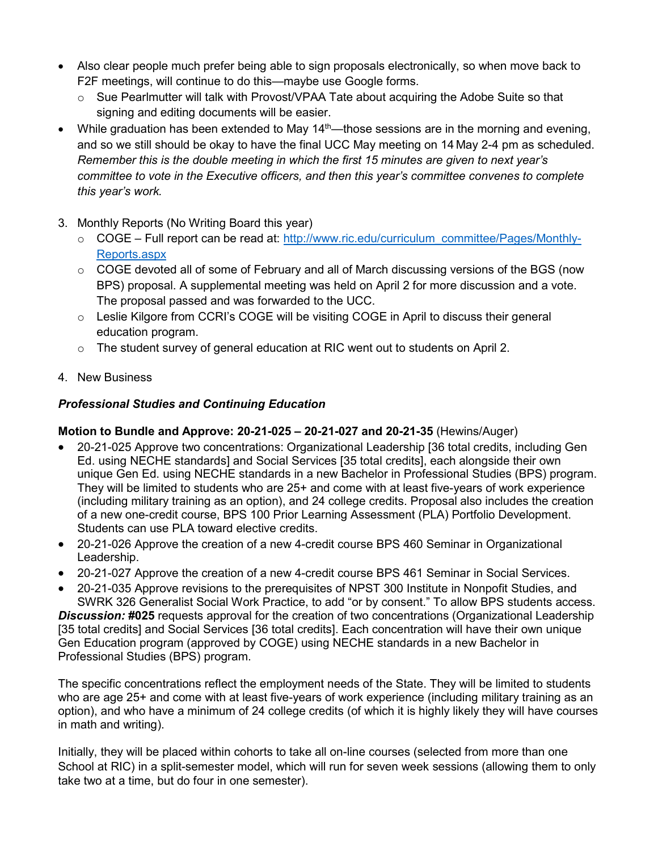- Also clear people much prefer being able to sign proposals electronically, so when move back to F2F meetings, will continue to do this—maybe use Google forms.
	- $\circ$  Sue Pearlmutter will talk with Provost/VPAA Tate about acquiring the Adobe Suite so that signing and editing documents will be easier.
- While graduation has been extended to May  $14<sup>th</sup>$ —those sessions are in the morning and evening, and so we still should be okay to have the final UCC May meeting on 14 May 2-4 pm as scheduled. *Remember this is the double meeting in which the first 15 minutes are given to next year's committee to vote in the Executive officers, and then this year's committee convenes to complete this year's work.*
- 3. Monthly Reports (No Writing Board this year)
	- o COGE Full report can be read at: [http://www.ric.edu/curriculum\\_committee/Pages/Monthly-](http://www.ric.edu/curriculum_committee/Pages/Monthly-Reports.aspx)[Reports.aspx](http://www.ric.edu/curriculum_committee/Pages/Monthly-Reports.aspx)
	- $\circ$  COGE devoted all of some of February and all of March discussing versions of the BGS (now BPS) proposal. A supplemental meeting was held on April 2 for more discussion and a vote. The proposal passed and was forwarded to the UCC.
	- $\circ$  Leslie Kilgore from CCRI's COGE will be visiting COGE in April to discuss their general education program.
	- o The student survey of general education at RIC went out to students on April 2.
- 4. New Business

# *Professional Studies and Continuing Education*

# **Motion to Bundle and Approve: 20-21-025 – 20-21-027 and 20-21-35** (Hewins/Auger)

- 20-21-025 Approve two concentrations: Organizational Leadership [36 total credits, including Gen Ed. using NECHE standards] and Social Services [35 total credits], each alongside their own unique Gen Ed. using NECHE standards in a new Bachelor in Professional Studies (BPS) program. They will be limited to students who are 25+ and come with at least five-years of work experience (including military training as an option), and 24 college credits. Proposal also includes the creation of a new one-credit course, BPS 100 Prior Learning Assessment (PLA) Portfolio Development. Students can use PLA toward elective credits.
- 20-21-026 Approve the creation of a new 4-credit course BPS 460 Seminar in Organizational Leadership.
- 20-21-027 Approve the creation of a new 4-credit course BPS 461 Seminar in Social Services.
- 20-21-035 Approve revisions to the prerequisites of NPST 300 Institute in Nonpofit Studies, and SWRK 326 Generalist Social Work Practice, to add "or by consent." To allow BPS students access.

*Discussion:* **#025** requests approval for the creation of two concentrations (Organizational Leadership [35 total credits] and Social Services [36 total credits]. Each concentration will have their own unique Gen Education program (approved by COGE) using NECHE standards in a new Bachelor in Professional Studies (BPS) program.

The specific concentrations reflect the employment needs of the State. They will be limited to students who are age 25+ and come with at least five-years of work experience (including military training as an option), and who have a minimum of 24 college credits (of which it is highly likely they will have courses in math and writing).

Initially, they will be placed within cohorts to take all on-line courses (selected from more than one School at RIC) in a split-semester model, which will run for seven week sessions (allowing them to only take two at a time, but do four in one semester).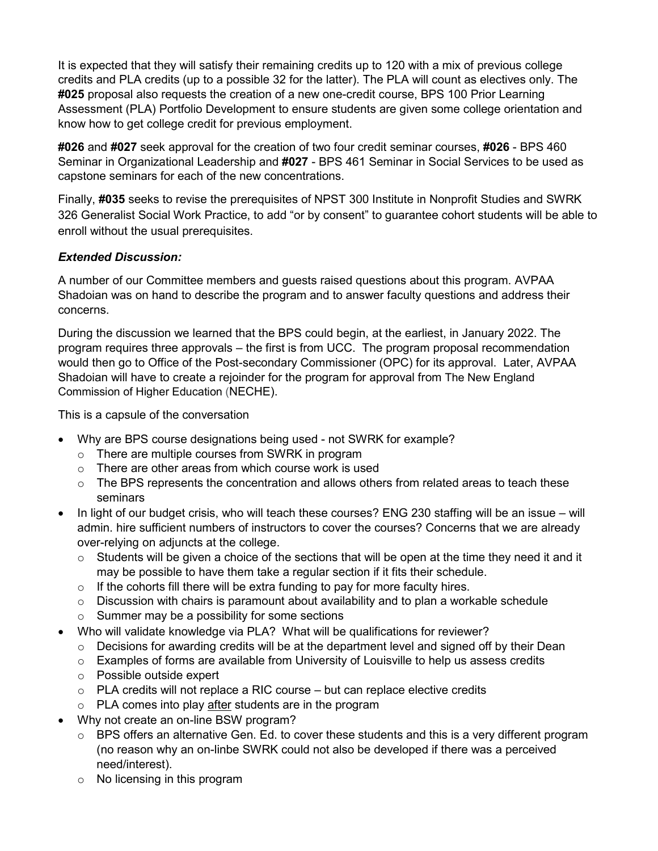It is expected that they will satisfy their remaining credits up to 120 with a mix of previous college credits and PLA credits (up to a possible 32 for the latter). The PLA will count as electives only. The **#025** proposal also requests the creation of a new one-credit course, BPS 100 Prior Learning Assessment (PLA) Portfolio Development to ensure students are given some college orientation and know how to get college credit for previous employment.

**#026** and **#027** seek approval for the creation of two four credit seminar courses, **#026** - BPS 460 Seminar in Organizational Leadership and **#027** - BPS 461 Seminar in Social Services to be used as capstone seminars for each of the new concentrations.

Finally, **#035** seeks to revise the prerequisites of NPST 300 Institute in Nonprofit Studies and SWRK 326 Generalist Social Work Practice, to add "or by consent" to guarantee cohort students will be able to enroll without the usual prerequisites.

# *Extended Discussion:*

A number of our Committee members and guests raised questions about this program. AVPAA Shadoian was on hand to describe the program and to answer faculty questions and address their concerns.

During the discussion we learned that the BPS could begin, at the earliest, in January 2022. The program requires three approvals – the first is from UCC. The program proposal recommendation would then go to Office of the Post-secondary Commissioner (OPC) for its approval. Later, AVPAA Shadoian will have to create a rejoinder for the program for approval from The New England Commission of Higher Education (NECHE).

This is a capsule of the conversation

- Why are BPS course designations being used not SWRK for example?
	- o There are multiple courses from SWRK in program
	- $\circ$  There are other areas from which course work is used
	- $\circ$  The BPS represents the concentration and allows others from related areas to teach these seminars
- In light of our budget crisis, who will teach these courses? ENG 230 staffing will be an issue will admin. hire sufficient numbers of instructors to cover the courses? Concerns that we are already over-relying on adjuncts at the college.
	- $\circ$  Students will be given a choice of the sections that will be open at the time they need it and it may be possible to have them take a regular section if it fits their schedule.
	- $\circ$  If the cohorts fill there will be extra funding to pay for more faculty hires.
	- $\circ$  Discussion with chairs is paramount about availability and to plan a workable schedule
	- o Summer may be a possibility for some sections
- Who will validate knowledge via PLA? What will be qualifications for reviewer?
	- o Decisions for awarding credits will be at the department level and signed off by their Dean
	- $\circ$  Examples of forms are available from University of Louisville to help us assess credits
	- o Possible outside expert
	- $\circ$  PLA credits will not replace a RIC course but can replace elective credits
	- o PLA comes into play after students are in the program
- Why not create an on-line BSW program?
	- o BPS offers an alternative Gen. Ed. to cover these students and this is a very different program (no reason why an on-linbe SWRK could not also be developed if there was a perceived need/interest).
	- o No licensing in this program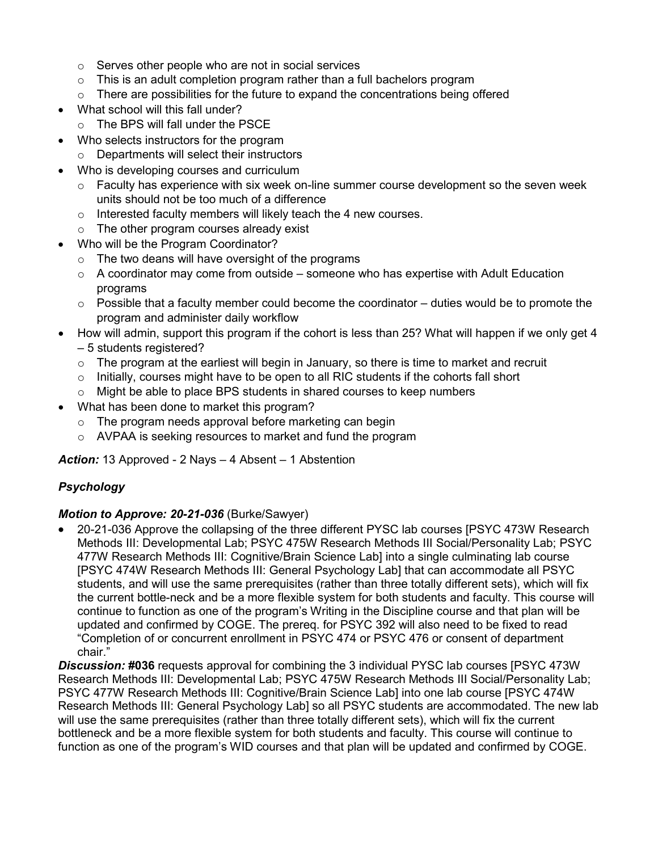- $\circ$  Serves other people who are not in social services
- $\circ$  This is an adult completion program rather than a full bachelors program
- $\circ$  There are possibilities for the future to expand the concentrations being offered
- What school will this fall under?
	- o The BPS will fall under the PSCE
- Who selects instructors for the program
	- o Departments will select their instructors
- Who is developing courses and curriculum
	- $\circ$  Faculty has experience with six week on-line summer course development so the seven week units should not be too much of a difference
	- o Interested faculty members will likely teach the 4 new courses.
	- o The other program courses already exist
- Who will be the Program Coordinator?
	- $\circ$  The two deans will have oversight of the programs
	- $\circ$  A coordinator may come from outside someone who has expertise with Adult Education programs
	- $\circ$  Possible that a faculty member could become the coordinator duties would be to promote the program and administer daily workflow
- How will admin, support this program if the cohort is less than 25? What will happen if we only get 4 – 5 students registered?
	- $\circ$  The program at the earliest will begin in January, so there is time to market and recruit
	- $\circ$  Initially, courses might have to be open to all RIC students if the cohorts fall short
	- o Might be able to place BPS students in shared courses to keep numbers
- What has been done to market this program?
	- $\circ$  The program needs approval before marketing can begin
	- o AVPAA is seeking resources to market and fund the program

*Action:* 13 Approved - 2 Nays – 4 Absent – 1 Abstention

# *Psychology*

#### *Motion to Approve: 20-21-036* (Burke/Sawyer)

• 20-21-036 Approve the collapsing of the three different PYSC lab courses [PSYC 473W Research Methods III: Developmental Lab; PSYC 475W Research Methods III Social/Personality Lab; PSYC 477W Research Methods III: Cognitive/Brain Science Lab] into a single culminating lab course [PSYC 474W Research Methods III: General Psychology Lab] that can accommodate all PSYC students, and will use the same prerequisites (rather than three totally different sets), which will fix the current bottle-neck and be a more flexible system for both students and faculty. This course will continue to function as one of the program's Writing in the Discipline course and that plan will be updated and confirmed by COGE. The prereq. for PSYC 392 will also need to be fixed to read "Completion of or concurrent enrollment in PSYC 474 or PSYC 476 or consent of department chair."

*Discussion:* **#036** requests approval for combining the 3 individual PYSC lab courses [PSYC 473W Research Methods III: Developmental Lab; PSYC 475W Research Methods III Social/Personality Lab; PSYC 477W Research Methods III: Cognitive/Brain Science Lab] into one lab course [PSYC 474W Research Methods III: General Psychology Lab] so all PSYC students are accommodated. The new lab will use the same prerequisites (rather than three totally different sets), which will fix the current bottleneck and be a more flexible system for both students and faculty. This course will continue to function as one of the program's WID courses and that plan will be updated and confirmed by COGE.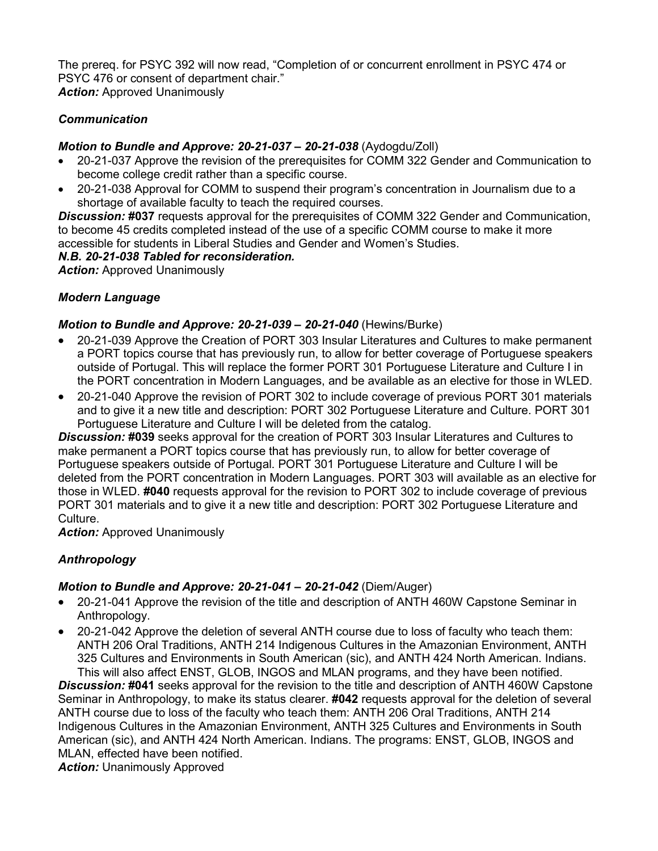The prereq. for PSYC 392 will now read, "Completion of or concurrent enrollment in PSYC 474 or PSYC 476 or consent of department chair." **Action:** Approved Unanimously

#### *Communication*

# *Motion to Bundle and Approve: 20-21-037 – 20-21-038* (Aydogdu/Zoll)

- 20-21-037 Approve the revision of the prerequisites for COMM 322 Gender and Communication to become college credit rather than a specific course.
- 20-21-038 Approval for COMM to suspend their program's concentration in Journalism due to a shortage of available faculty to teach the required courses.

*Discussion:* **#037** requests approval for the prerequisites of COMM 322 Gender and Communication, to become 45 credits completed instead of the use of a specific COMM course to make it more accessible for students in Liberal Studies and Gender and Women's Studies.

#### *N.B. 20-21-038 Tabled for reconsideration.*

**Action: Approved Unanimously** 

#### *Modern Language*

#### *Motion to Bundle and Approve: 20-21-039 – 20-21-040* (Hewins/Burke)

- 20-21-039 Approve the Creation of PORT 303 Insular Literatures and Cultures to make permanent a PORT topics course that has previously run, to allow for better coverage of Portuguese speakers outside of Portugal. This will replace the former PORT 301 Portuguese Literature and Culture I in the PORT concentration in Modern Languages, and be available as an elective for those in WLED.
- 20-21-040 Approve the revision of PORT 302 to include coverage of previous PORT 301 materials and to give it a new title and description: PORT 302 Portuguese Literature and Culture. PORT 301 Portuguese Literature and Culture I will be deleted from the catalog.

*Discussion:* **#039** seeks approval for the creation of PORT 303 Insular Literatures and Cultures to make permanent a PORT topics course that has previously run, to allow for better coverage of Portuguese speakers outside of Portugal. PORT 301 Portuguese Literature and Culture I will be deleted from the PORT concentration in Modern Languages. PORT 303 will available as an elective for those in WLED. **#040** requests approval for the revision to PORT 302 to include coverage of previous PORT 301 materials and to give it a new title and description: PORT 302 Portuguese Literature and Culture.

**Action:** Approved Unanimously

# *Anthropology*

# *Motion to Bundle and Approve: 20-21-041 – 20-21-042* (Diem/Auger)

- 20-21-041 Approve the revision of the title and description of ANTH 460W Capstone Seminar in Anthropology.
- 20-21-042 Approve the deletion of several ANTH course due to loss of faculty who teach them: ANTH 206 Oral Traditions, ANTH 214 Indigenous Cultures in the Amazonian Environment, ANTH 325 Cultures and Environments in South American (sic), and ANTH 424 North American. Indians. This will also affect ENST, GLOB, INGOS and MLAN programs, and they have been notified.

*Discussion:* **#041** seeks approval for the revision to the title and description of ANTH 460W Capstone Seminar in Anthropology, to make its status clearer. **#042** requests approval for the deletion of several ANTH course due to loss of the faculty who teach them: ANTH 206 Oral Traditions, ANTH 214 Indigenous Cultures in the Amazonian Environment, ANTH 325 Cultures and Environments in South American (sic), and ANTH 424 North American. Indians. The programs: ENST, GLOB, INGOS and MLAN, effected have been notified.

**Action: Unanimously Approved**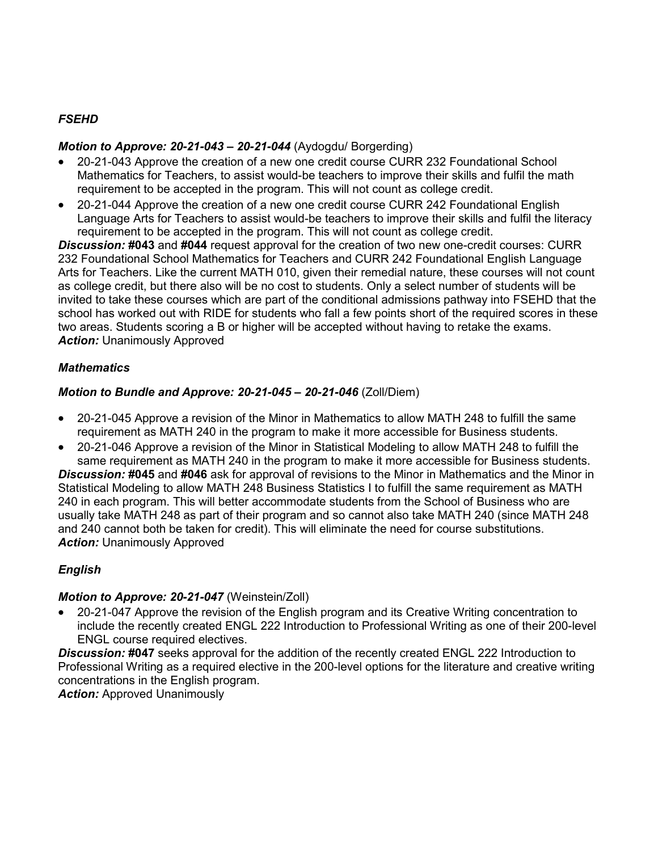# *FSEHD*

### *Motion to Approve: 20-21-043 – 20-21-044* (Aydogdu/ Borgerding)

- 20-21-043 Approve the creation of a new one credit course CURR 232 Foundational School Mathematics for Teachers, to assist would-be teachers to improve their skills and fulfil the math requirement to be accepted in the program. This will not count as college credit.
- 20-21-044 Approve the creation of a new one credit course CURR 242 Foundational English Language Arts for Teachers to assist would-be teachers to improve their skills and fulfil the literacy requirement to be accepted in the program. This will not count as college credit.

*Discussion:* **#043** and **#044** request approval for the creation of two new one-credit courses: CURR 232 Foundational School Mathematics for Teachers and CURR 242 Foundational English Language Arts for Teachers. Like the current MATH 010, given their remedial nature, these courses will not count as college credit, but there also will be no cost to students. Only a select number of students will be invited to take these courses which are part of the conditional admissions pathway into FSEHD that the school has worked out with RIDE for students who fall a few points short of the required scores in these two areas. Students scoring a B or higher will be accepted without having to retake the exams. *Action:* Unanimously Approved

#### *Mathematics*

#### *Motion to Bundle and Approve: 20-21-045 – 20-21-046* (Zoll/Diem)

- 20-21-045 Approve a revision of the Minor in Mathematics to allow MATH 248 to fulfill the same requirement as MATH 240 in the program to make it more accessible for Business students.
- 20-21-046 Approve a revision of the Minor in Statistical Modeling to allow MATH 248 to fulfill the same requirement as MATH 240 in the program to make it more accessible for Business students.

*Discussion:* **#045** and **#046** ask for approval of revisions to the Minor in Mathematics and the Minor in Statistical Modeling to allow MATH 248 Business Statistics I to fulfill the same requirement as MATH 240 in each program. This will better accommodate students from the School of Business who are usually take MATH 248 as part of their program and so cannot also take MATH 240 (since MATH 248 and 240 cannot both be taken for credit). This will eliminate the need for course substitutions. **Action:** Unanimously Approved

# *English*

#### *Motion to Approve: 20-21-047* (Weinstein/Zoll)

• 20-21-047 Approve the revision of the English program and its Creative Writing concentration to include the recently created ENGL 222 Introduction to Professional Writing as one of their 200-level ENGL course required electives.

*Discussion:* **#047** seeks approval for the addition of the recently created ENGL 222 Introduction to Professional Writing as a required elective in the 200-level options for the literature and creative writing concentrations in the English program.

**Action:** Approved Unanimously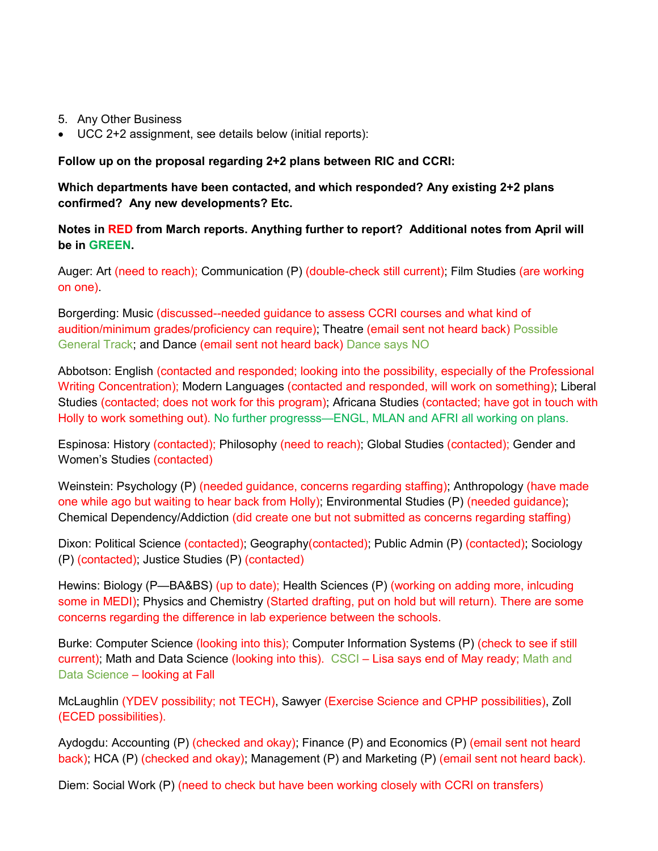- 5. Any Other Business
- UCC 2+2 assignment, see details below (initial reports):

**Follow up on the proposal regarding 2+2 plans between RIC and CCRI:**

**Which departments have been contacted, and which responded? Any existing 2+2 plans confirmed? Any new developments? Etc.**

**Notes in RED from March reports. Anything further to report? Additional notes from April will be in GREEN.**

Auger: Art (need to reach); Communication (P) (double-check still current); Film Studies (are working on one).

Borgerding: Music (discussed--needed guidance to assess CCRI courses and what kind of audition/minimum grades/proficiency can require); Theatre (email sent not heard back) Possible General Track; and Dance (email sent not heard back) Dance says NO

Abbotson: English (contacted and responded; looking into the possibility, especially of the Professional Writing Concentration); Modern Languages (contacted and responded, will work on something); Liberal Studies (contacted; does not work for this program); Africana Studies (contacted; have got in touch with Holly to work something out). No further progresss—ENGL, MLAN and AFRI all working on plans.

Espinosa: History (contacted); Philosophy (need to reach); Global Studies (contacted); Gender and Women's Studies (contacted)

Weinstein: Psychology (P) (needed guidance, concerns regarding staffing); Anthropology (have made one while ago but waiting to hear back from Holly); Environmental Studies (P) (needed guidance); Chemical Dependency/Addiction (did create one but not submitted as concerns regarding staffing)

Dixon: Political Science (contacted); Geography(contacted); Public Admin (P) (contacted); Sociology (P) (contacted); Justice Studies (P) (contacted)

Hewins: Biology (P—BA&BS) (up to date); Health Sciences (P) (working on adding more, inlcuding some in MEDI); Physics and Chemistry (Started drafting, put on hold but will return). There are some concerns regarding the difference in lab experience between the schools.

Burke: Computer Science (looking into this); Computer Information Systems (P) (check to see if still current); Math and Data Science (looking into this). CSCI – Lisa says end of May ready; Math and Data Science – looking at Fall

McLaughlin (YDEV possibility; not TECH), Sawyer (Exercise Science and CPHP possibilities), Zoll (ECED possibilities).

Aydogdu: Accounting (P) (checked and okay); Finance (P) and Economics (P) (email sent not heard back); HCA (P) (checked and okay); Management (P) and Marketing (P) (email sent not heard back).

Diem: Social Work (P) (need to check but have been working closely with CCRI on transfers)